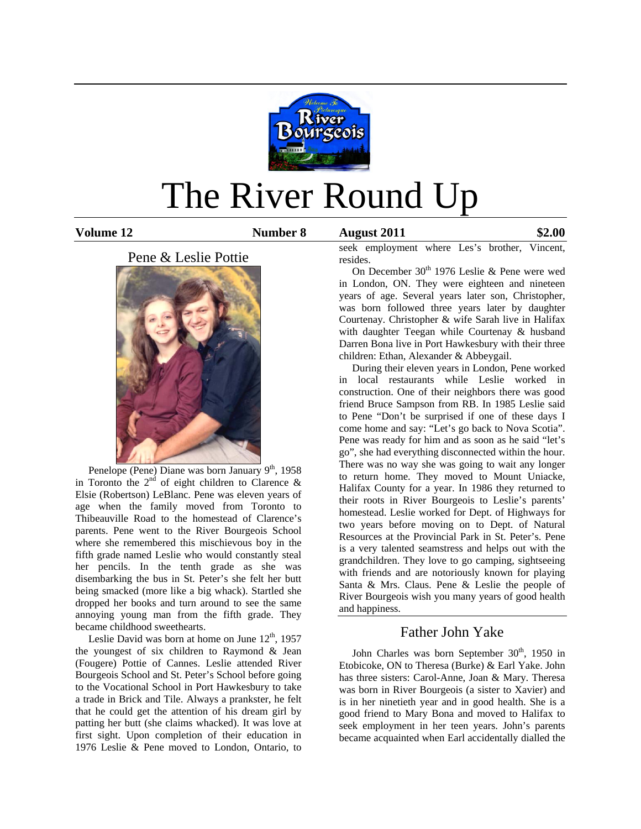

# The River Round Up

**Volume 12 Number 8 August 2011 \$2.00**





Penelope (Pene) Diane was born January 9<sup>th</sup>, 1958 in Toronto the  $2<sup>nd</sup>$  of eight children to Clarence & Elsie (Robertson) LeBlanc. Pene was eleven years of age when the family moved from Toronto to Thibeauville Road to the homestead of Clarence's parents. Pene went to the River Bourgeois School where she remembered this mischievous boy in the fifth grade named Leslie who would constantly steal her pencils. In the tenth grade as she was disembarking the bus in St. Peter's she felt her butt being smacked (more like a big whack). Startled she dropped her books and turn around to see the same annoying young man from the fifth grade. They became childhood sweethearts.

Leslie David was born at home on June  $12<sup>th</sup>$ , 1957 the youngest of six children to Raymond & Jean (Fougere) Pottie of Cannes. Leslie attended River Bourgeois School and St. Peter's School before going to the Vocational School in Port Hawkesbury to take a trade in Brick and Tile. Always a prankster, he felt that he could get the attention of his dream girl by patting her butt (she claims whacked). It was love at first sight. Upon completion of their education in 1976 Leslie & Pene moved to London, Ontario, to

seek employment where Les's brother, Vincent, resides.

On December  $30<sup>th</sup>$  1976 Leslie & Pene were wed in London, ON. They were eighteen and nineteen years of age. Several years later son, Christopher, was born followed three years later by daughter Courtenay. Christopher & wife Sarah live in Halifax with daughter Teegan while Courtenay & husband Darren Bona live in Port Hawkesbury with their three children: Ethan, Alexander & Abbeygail.

 During their eleven years in London, Pene worked in local restaurants while Leslie worked in construction. One of their neighbors there was good friend Bruce Sampson from RB. In 1985 Leslie said to Pene "Don't be surprised if one of these days I come home and say: "Let's go back to Nova Scotia". Pene was ready for him and as soon as he said "let's go", she had everything disconnected within the hour. There was no way she was going to wait any longer to return home. They moved to Mount Uniacke, Halifax County for a year. In 1986 they returned to their roots in River Bourgeois to Leslie's parents' homestead. Leslie worked for Dept. of Highways for two years before moving on to Dept. of Natural Resources at the Provincial Park in St. Peter's. Pene is a very talented seamstress and helps out with the grandchildren. They love to go camping, sightseeing with friends and are notoriously known for playing Santa & Mrs. Claus. Pene & Leslie the people of River Bourgeois wish you many years of good health and happiness.

# Father John Yake

John Charles was born September  $30<sup>th</sup>$ , 1950 in Etobicoke, ON to Theresa (Burke) & Earl Yake. John has three sisters: Carol-Anne, Joan & Mary. Theresa was born in River Bourgeois (a sister to Xavier) and is in her ninetieth year and in good health. She is a good friend to Mary Bona and moved to Halifax to seek employment in her teen years. John's parents became acquainted when Earl accidentally dialled the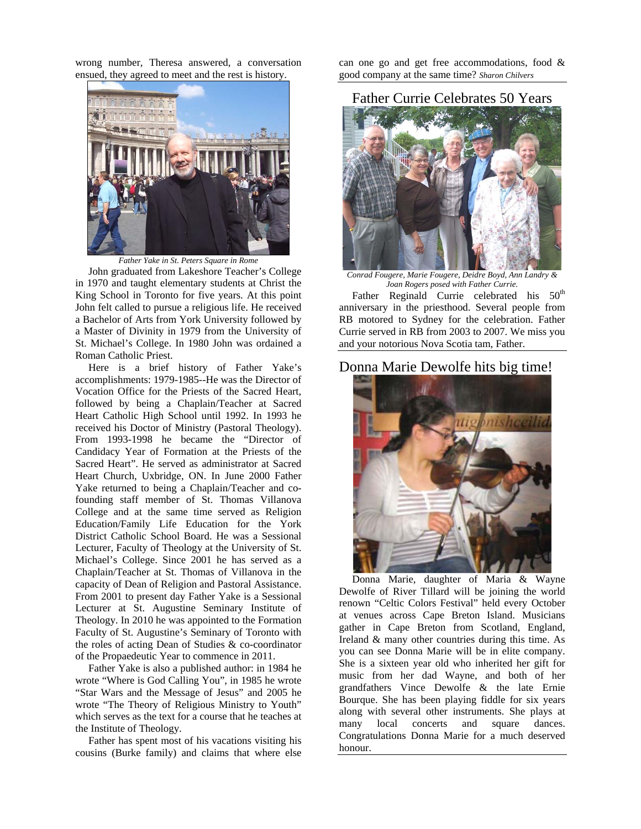wrong number, Theresa answered, a conversation ensued, they agreed to meet and the rest is history.



*Father Yake in St. Peters Square in Rome* 

 John graduated from Lakeshore Teacher's College in 1970 and taught elementary students at Christ the King School in Toronto for five years. At this point John felt called to pursue a religious life. He received a Bachelor of Arts from York University followed by a Master of Divinity in 1979 from the University of St. Michael's College. In 1980 John was ordained a Roman Catholic Priest.

 Here is a brief history of Father Yake's accomplishments: 1979-1985--He was the Director of Vocation Office for the Priests of the Sacred Heart, followed by being a Chaplain/Teacher at Sacred Heart Catholic High School until 1992. In 1993 he received his Doctor of Ministry (Pastoral Theology). From 1993-1998 he became the "Director of Candidacy Year of Formation at the Priests of the Sacred Heart". He served as administrator at Sacred Heart Church, Uxbridge, ON. In June 2000 Father Yake returned to being a Chaplain/Teacher and cofounding staff member of St. Thomas Villanova College and at the same time served as Religion Education/Family Life Education for the York District Catholic School Board. He was a Sessional Lecturer, Faculty of Theology at the University of St. Michael's College. Since 2001 he has served as a Chaplain/Teacher at St. Thomas of Villanova in the capacity of Dean of Religion and Pastoral Assistance. From 2001 to present day Father Yake is a Sessional Lecturer at St. Augustine Seminary Institute of Theology. In 2010 he was appointed to the Formation Faculty of St. Augustine's Seminary of Toronto with the roles of acting Dean of Studies & co-coordinator of the Propaedeutic Year to commence in 2011.

 Father Yake is also a published author: in 1984 he wrote "Where is God Calling You", in 1985 he wrote "Star Wars and the Message of Jesus" and 2005 he wrote "The Theory of Religious Ministry to Youth" which serves as the text for a course that he teaches at the Institute of Theology.

 Father has spent most of his vacations visiting his cousins (Burke family) and claims that where else

can one go and get free accommodations, food & good company at the same time? *Sharon Chilvers*

## Father Currie Celebrates 50 Years



*Conrad Fougere, Marie Fougere, Deidre Boyd, Ann Landry & Joan Rogers posed with Father Currie.* 

Father Reginald Currie celebrated his  $50<sup>th</sup>$ anniversary in the priesthood. Several people from RB motored to Sydney for the celebration. Father Currie served in RB from 2003 to 2007. We miss you and your notorious Nova Scotia tam, Father.

## Donna Marie Dewolfe hits big time!



 Donna Marie, daughter of Maria & Wayne Dewolfe of River Tillard will be joining the world renown "Celtic Colors Festival" held every October at venues across Cape Breton Island. Musicians gather in Cape Breton from Scotland, England, Ireland & many other countries during this time. As you can see Donna Marie will be in elite company. She is a sixteen year old who inherited her gift for music from her dad Wayne, and both of her grandfathers Vince Dewolfe & the late Ernie Bourque. She has been playing fiddle for six years along with several other instruments. She plays at many local concerts and square dances. Congratulations Donna Marie for a much deserved honour.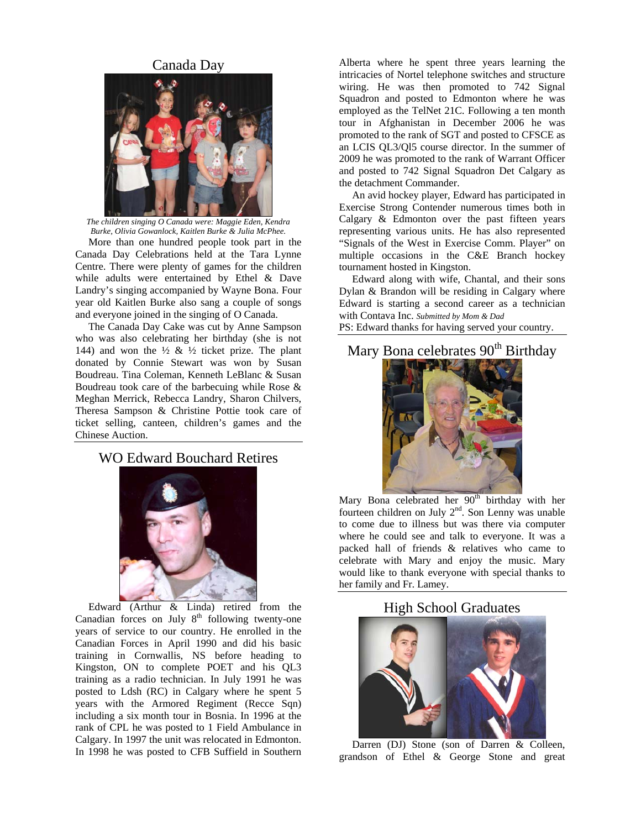## Canada Day



*The children singing O Canada were: Maggie Eden, Kendra Burke, Olivia Gowanlock, Kaitlen Burke & Julia McPhee.* 

 More than one hundred people took part in the Canada Day Celebrations held at the Tara Lynne Centre. There were plenty of games for the children while adults were entertained by Ethel & Dave Landry's singing accompanied by Wayne Bona. Four year old Kaitlen Burke also sang a couple of songs and everyone joined in the singing of O Canada.

 The Canada Day Cake was cut by Anne Sampson who was also celebrating her birthday (she is not 144) and won the  $\frac{1}{2}$  &  $\frac{1}{2}$  ticket prize. The plant donated by Connie Stewart was won by Susan Boudreau. Tina Coleman, Kenneth LeBlanc & Susan Boudreau took care of the barbecuing while Rose & Meghan Merrick, Rebecca Landry, Sharon Chilvers, Theresa Sampson & Christine Pottie took care of ticket selling, canteen, children's games and the Chinese Auction.

## WO Edward Bouchard Retires



 Edward (Arthur & Linda) retired from the Canadian forces on July  $8<sup>th</sup>$  following twenty-one years of service to our country. He enrolled in the Canadian Forces in April 1990 and did his basic training in Cornwallis, NS before heading to Kingston, ON to complete POET and his QL3 training as a radio technician. In July 1991 he was posted to Ldsh (RC) in Calgary where he spent 5 years with the Armored Regiment (Recce Sqn) including a six month tour in Bosnia. In 1996 at the rank of CPL he was posted to 1 Field Ambulance in Calgary. In 1997 the unit was relocated in Edmonton. In 1998 he was posted to CFB Suffield in Southern Alberta where he spent three years learning the intricacies of Nortel telephone switches and structure wiring. He was then promoted to 742 Signal Squadron and posted to Edmonton where he was employed as the TelNet 21C. Following a ten month tour in Afghanistan in December 2006 he was promoted to the rank of SGT and posted to CFSCE as an LCIS QL3/Ql5 course director. In the summer of 2009 he was promoted to the rank of Warrant Officer and posted to 742 Signal Squadron Det Calgary as the detachment Commander.

 An avid hockey player, Edward has participated in Exercise Strong Contender numerous times both in Calgary & Edmonton over the past fifteen years representing various units. He has also represented "Signals of the West in Exercise Comm. Player" on multiple occasions in the C&E Branch hockey tournament hosted in Kingston.

 Edward along with wife, Chantal, and their sons Dylan & Brandon will be residing in Calgary where Edward is starting a second career as a technician with Contava Inc. *Submitted by Mom & Dad* 

PS: Edward thanks for having served your country.

# Mary Bona celebrates  $90<sup>th</sup>$  Birthday



Mary Bona celebrated her 90<sup>th</sup> birthday with her fourteen children on July  $2<sup>nd</sup>$ . Son Lenny was unable to come due to illness but was there via computer where he could see and talk to everyone. It was a packed hall of friends & relatives who came to celebrate with Mary and enjoy the music. Mary would like to thank everyone with special thanks to her family and Fr. Lamey.

#### High School Graduates



 Darren (DJ) Stone (son of Darren & Colleen, grandson of Ethel & George Stone and great